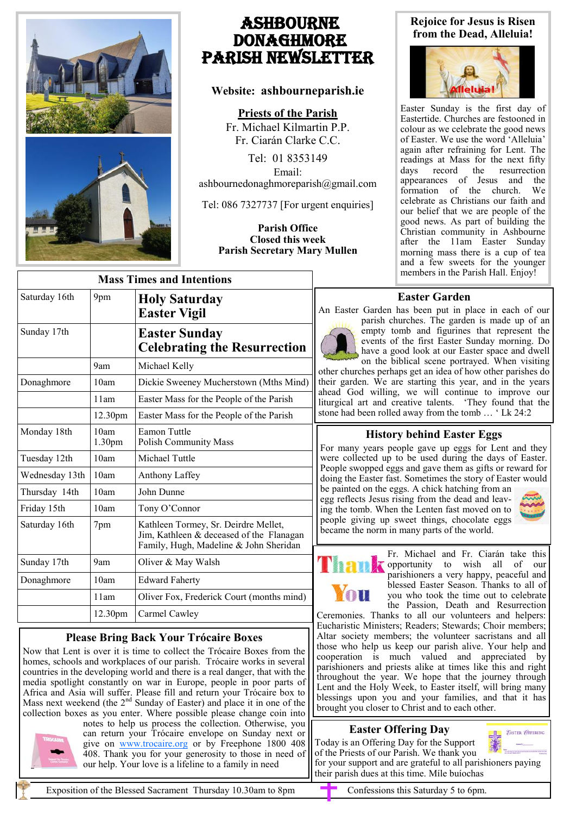

# Ashbourne **DONAGHMORE** Parish NEWSLETTER

# **Website: ashbourneparish.ie**

**Priests of the Parish**

Fr. Michael Kilmartin P.P. Fr. Ciarán Clarke C.C.

Tel: 01 8353149 Email: ashbournedonaghmoreparish@gmail.com

Tel: 086 7327737 [For urgent enquiries]

#### **Parish Office Closed this week Parish Secretary Mary Mullen**

### **Rejoice for Jesus is Risen from the Dead, Alleluia!**



Easter Sunday is the first day of Eastertide. Churches are festooned in colour as we celebrate the good news of Easter. We use the word 'Alleluia' again after refraining for Lent. The readings at Mass for the next fifty days record the resurrection appearances of Jesus and the formation of the church. We celebrate as Christians our faith and our belief that we are people of the good news. As part of building the Christian community in Ashbourne after the 11am Easter Sunday morning mass there is a cup of tea and a few sweets for the younger members in the Parish Hall. Enjoy!

# **Easter Garden**

An Easter Garden has been put in place in each of our



parish churches. The garden is made up of an empty tomb and figurines that represent the events of the first Easter Sunday morning. Do have a good look at our Easter space and dwell on the biblical scene portrayed. When visiting

other churches perhaps get an idea of how other parishes do their garden. We are starting this year, and in the years ahead God willing, we will continue to improve our liturgical art and creative talents. 'They found that the stone had been rolled away from the tomb … ' Lk 24:2

# **History behind Easter Eggs**

For many years people gave up eggs for Lent and they were collected up to be used during the days of Easter. People swopped eggs and gave them as gifts or reward for doing the Easter fast. Sometimes the story of Easter would

be painted on the eggs. A chick hatching from an egg reflects Jesus rising from the dead and leaving the tomb. When the Lenten fast moved on to people giving up sweet things, chocolate eggs became the norm in many parts of the world.





Fr. Michael and Fr. Ciarán take this opportunity to wish all of our parishioners a very happy, peaceful and blessed Easter Season. Thanks to all of you who took the time out to celebrate the Passion, Death and Resurrection

Ceremonies. Thanks to all our volunteers and helpers: Eucharistic Ministers; Readers; Stewards; Choir members; Altar society members; the volunteer sacristans and all those who help us keep our parish alive. Your help and cooperation is much valued and appreciated by parishioners and priests alike at times like this and right throughout the year. We hope that the journey through Lent and the Holy Week, to Easter itself, will bring many blessings upon you and your families, and that it has brought you closer to Christ and to each other.

# **Easter Offering Day**

Today is an Offering Day for the Support



of the Priests of our Parish. We thank you for your support and are grateful to all parishioners paying their parish dues at this time. Míle buíochas

| <b>Mass Times and Intentions</b> |                            |                                                                                                                            |
|----------------------------------|----------------------------|----------------------------------------------------------------------------------------------------------------------------|
| Saturday 16th                    | 9pm                        | <b>Holy Saturday</b><br><b>Easter Vigil</b>                                                                                |
| Sunday 17th                      |                            | <b>Easter Sunday</b><br><b>Celebrating the Resurrection</b>                                                                |
|                                  | 9am                        | Michael Kelly                                                                                                              |
| Donaghmore                       | 10am                       | Dickie Sweeney Mucherstown (Mths Mind)                                                                                     |
|                                  | 11am                       | Easter Mass for the People of the Parish                                                                                   |
|                                  | 12.30pm                    | Easter Mass for the People of the Parish                                                                                   |
| Monday 18th                      | 10am<br>1.30 <sub>pm</sub> | <b>Eamon Tuttle</b><br><b>Polish Community Mass</b>                                                                        |
| Tuesday 12th                     | 10am                       | Michael Tuttle                                                                                                             |
| Wednesday 13th                   | 10am                       | Anthony Laffey                                                                                                             |
| Thursday 14th                    | 10am                       | John Dunne                                                                                                                 |
| Friday 15th                      | 10am                       | Tony O'Connor                                                                                                              |
| Saturday 16th                    | 7pm                        | Kathleen Tormey, Sr. Deirdre Mellet,<br>Jim, Kathleen & deceased of the Flanagan<br>Family, Hugh, Madeline & John Sheridan |
| Sunday 17th                      | 9am                        | Oliver & May Walsh                                                                                                         |
| Donaghmore                       | 10am                       | <b>Edward Faherty</b>                                                                                                      |
|                                  | 11am                       | Oliver Fox, Frederick Court (months mind)                                                                                  |
|                                  | 12.30pm                    | Carmel Cawley                                                                                                              |

# **Please Bring Back Your Trócaire Boxes**

Now that Lent is over it is time to collect the Trócaire Boxes from the homes, schools and workplaces of our parish. Trócaire works in several countries in the developing world and there is a real danger, that with the media spotlight constantly on war in Europe, people in poor parts of Africa and Asia will suffer. Please fill and return your Trócaire box to Mass next weekend (the  $2<sup>nd</sup>$  Sunday of Easter) and place it in one of the collection boxes as you enter. Where possible please change coin into



notes to help us process the collection. Otherwise, you can return your Trócaire envelope on Sunday next or give on [www.trocaire.org](http://www.trocaire.org) or by Freephone 1800 408 408. Thank you for your generosity to those in need of our help. Your love is a lifeline to a family in need